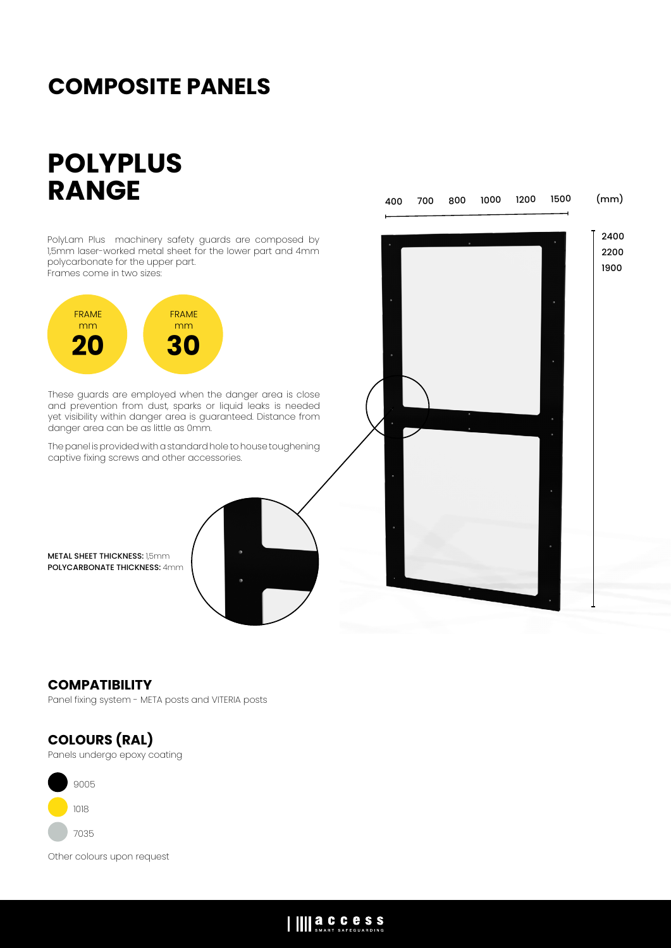## **COMPOSITE PANELS**

# **POLYPLUS RANGE**

PolyLam Plus machinery safety guards are composed by 1,5mm laser-worked metal sheet for the lower part and 4mm polycarbonate for the upper part. Frames come in two sizes: These guards are employed when the danger area is close and prevention from dust, sparks or liquid leaks is needed yet visibility within danger area is guaranteed. Distance from danger area can be as little as 0mm. The panel is provided with a standard hole to house toughening captive fixing screws and other accessories. FRAME mm **20** FRAME mm **30** 2400 2200 1900 400 700 800 1000 1200 1500 (mm) METAL SHEET THICKNESS: 1,5mm POLYCARBONATE THICKNESS: 4mm

### **COMPATIBILITY**

Panel fixing system - META posts and VITERIA posts

## **COLOURS (RAL)**

Panels undergo epoxy coating



Other colours upon request

### IIII a.C.C.C.S.S